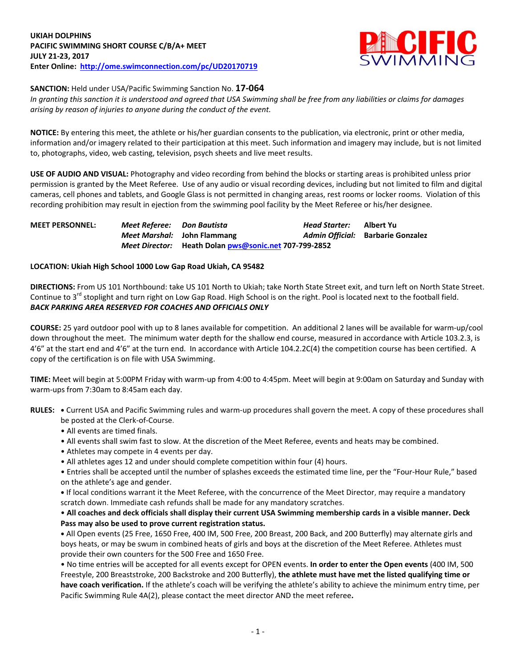

**SANCTION:** Held under USA/Pacific Swimming Sanction No. **17-064**

*In granting this sanction it is understood and agreed that USA Swimming shall be free from any liabilities or claims for damages arising by reason of injuries to anyone during the conduct of the event.*

**NOTICE:** By entering this meet, the athlete or his/her guardian consents to the publication, via electronic, print or other media, information and/or imagery related to their participation at this meet. Such information and imagery may include, but is not limited to, photographs, video, web casting, television, psych sheets and live meet results.

**USE OF AUDIO AND VISUAL:** Photography and video recording from behind the blocks or starting areas is prohibited unless prior permission is granted by the Meet Referee. Use of any audio or visual recording devices, including but not limited to film and digital cameras, cell phones and tablets, and Google Glass is not permitted in changing areas, rest rooms or locker rooms. Violation of this recording prohibition may result in ejection from the swimming pool facility by the Meet Referee or his/her designee.

| <b>MEET PERSONNEL:</b> | Meet Referee: Don Bautista |                                                       | Head Starter: | Albert Yu                         |
|------------------------|----------------------------|-------------------------------------------------------|---------------|-----------------------------------|
|                        |                            | Meet Marshal: John Flammang                           |               | Admin Official: Barbarie Gonzalez |
|                        |                            | Meet Director: Heath Dolan pws@sonic.net 707-799-2852 |               |                                   |

## **LOCATION: Ukiah High School 1000 Low Gap Road Ukiah, CA 95482**

**DIRECTIONS:** From US 101 Northbound: take US 101 North to Ukiah; take North State Street exit, and turn left on North State Street. Continue to 3<sup>rd</sup> stoplight and turn right on Low Gap Road. High School is on the right. Pool is located next to the football field. *BACK PARKING AREA RESERVED FOR COACHES AND OFFICIALS ONLY*

**COURSE:** 25 yard outdoor pool with up to 8 lanes available for competition. An additional 2 lanes will be available for warm-up/cool down throughout the meet. The minimum water depth for the shallow end course, measured in accordance with Article 103.2.3, is 4'6" at the start end and 4'6" at the turn end. In accordance with Article 104.2.2C(4) the competition course has been certified. A copy of the certification is on file with USA Swimming.

**TIME:** Meet will begin at 5:00PM Friday with warm-up from 4:00 to 4:45pm. Meet will begin at 9:00am on Saturday and Sunday with warm-ups from 7:30am to 8:45am each day.

**RULES: •** Current USA and Pacific Swimming rules and warm-up procedures shall govern the meet. A copy of these procedures shall be posted at the Clerk-of-Course.

- All events are timed finals.
- All events shall swim fast to slow. At the discretion of the Meet Referee, events and heats may be combined.
- Athletes may compete in 4 events per day.
- All athletes ages 12 and under should complete competition within four (4) hours.

• Entries shall be accepted until the number of splashes exceeds the estimated time line, per the "Four-Hour Rule," based on the athlete's age and gender.

**•** If local conditions warrant it the Meet Referee, with the concurrence of the Meet Director, may require a mandatory scratch down. Immediate cash refunds shall be made for any mandatory scratches.

• **All coaches and deck officials shall display their current USA Swimming membership cards in a visible manner. Deck Pass may also be used to prove current registration status.**

**•** All Open events (25 Free, 1650 Free, 400 IM, 500 Free, 200 Breast, 200 Back, and 200 Butterfly) may alternate girls and boys heats, or may be swum in combined heats of girls and boys at the discretion of the Meet Referee. Athletes must provide their own counters for the 500 Free and 1650 Free.

• No time entries will be accepted for all events except for OPEN events. **In order to enter the Open events** (400 IM, 500 Freestyle, 200 Breaststroke, 200 Backstroke and 200 Butterfly), **the athlete must have met the listed qualifying time or have coach verification.** If the athlete's coach will be verifying the athlete's ability to achieve the minimum entry time, per Pacific Swimming Rule 4A(2), please contact the meet director AND the meet referee**.**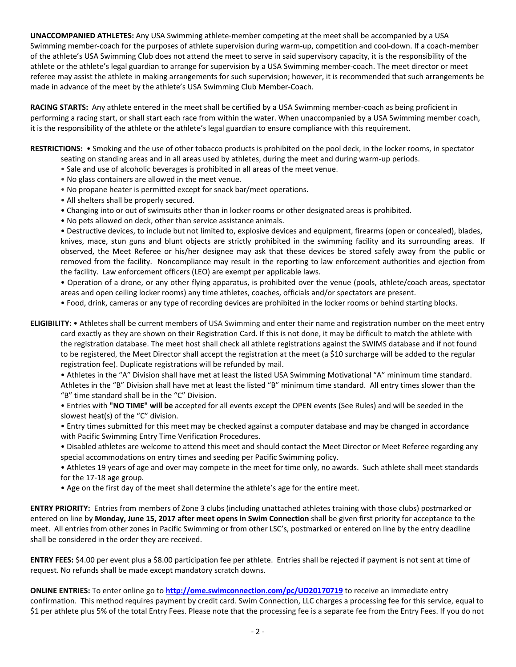**UNACCOMPANIED ATHLETES:** Any USA Swimming athlete-member competing at the meet shall be accompanied by a USA Swimming member-coach for the purposes of athlete supervision during warm-up, competition and cool-down. If a coach-member of the athlete's USA Swimming Club does not attend the meet to serve in said supervisory capacity, it is the responsibility of the athlete or the athlete's legal guardian to arrange for supervision by a USA Swimming member-coach. The meet director or meet referee may assist the athlete in making arrangements for such supervision; however, it is recommended that such arrangements be made in advance of the meet by the athlete's USA Swimming Club Member-Coach.

**RACING STARTS:** Any athlete entered in the meet shall be certified by a USA Swimming member-coach as being proficient in performing a racing start, or shall start each race from within the water. When unaccompanied by a USA Swimming member coach, it is the responsibility of the athlete or the athlete's legal guardian to ensure compliance with this requirement.

**RESTRICTIONS:** • Smoking and the use of other tobacco products is prohibited on the pool deck, in the locker rooms, in spectator

- seating on standing areas and in all areas used by athletes, during the meet and during warm-up periods.
- Sale and use of alcoholic beverages is prohibited in all areas of the meet venue.
- No glass containers are allowed in the meet venue.
- No propane heater is permitted except for snack bar/meet operations.
- All shelters shall be properly secured.
- Changing into or out of swimsuits other than in locker rooms or other designated areas is prohibited.
- No pets allowed on deck, other than service assistance animals.

• Destructive devices, to include but not limited to, explosive devices and equipment, firearms (open or concealed), blades, knives, mace, stun guns and blunt objects are strictly prohibited in the swimming facility and its surrounding areas. If observed, the Meet Referee or his/her designee may ask that these devices be stored safely away from the public or removed from the facility. Noncompliance may result in the reporting to law enforcement authorities and ejection from the facility. Law enforcement officers (LEO) are exempt per applicable laws.

• Operation of a drone, or any other flying apparatus, is prohibited over the venue (pools, athlete/coach areas, spectator areas and open ceiling locker rooms) any time athletes, coaches, officials and/or spectators are present.

• Food, drink, cameras or any type of recording devices are prohibited in the locker rooms or behind starting blocks.

**ELIGIBILITY:** • Athletes shall be current members of USA Swimming and enter their name and registration number on the meet entry card exactly as they are shown on their Registration Card. If this is not done, it may be difficult to match the athlete with the registration database. The meet host shall check all athlete registrations against the SWIMS database and if not found to be registered, the Meet Director shall accept the registration at the meet (a \$10 surcharge will be added to the regular registration fee). Duplicate registrations will be refunded by mail.

• Athletes in the "A" Division shall have met at least the listed USA Swimming Motivational "A" minimum time standard. Athletes in the "B" Division shall have met at least the listed "B" minimum time standard. All entry times slower than the "B" time standard shall be in the "C" Division.

• Entries with **"NO TIME" will be** accepted for all events except the OPEN events (See Rules) and will be seeded in the slowest heat(s) of the "C" division.

• Entry times submitted for this meet may be checked against a computer database and may be changed in accordance with Pacific Swimming Entry Time Verification Procedures.

- Disabled athletes are welcome to attend this meet and should contact the Meet Director or Meet Referee regarding any special accommodations on entry times and seeding per Pacific Swimming policy.
- Athletes 19 years of age and over may compete in the meet for time only, no awards. Such athlete shall meet standards for the 17-18 age group.
- Age on the first day of the meet shall determine the athlete's age for the entire meet.

**ENTRY PRIORITY:** Entries from members of Zone 3 clubs (including unattached athletes training with those clubs) postmarked or entered on line by **Monday, June 15, 2017 after meet opens in Swim Connection** shall be given first priority for acceptance to the meet. All entries from other zones in Pacific Swimming or from other LSC's, postmarked or entered on line by the entry deadline shall be considered in the order they are received.

**ENTRY FEES:** \$4.00 per event plus a \$8.00 participation fee per athlete. Entries shall be rejected if payment is not sent at time of request. No refunds shall be made except mandatory scratch downs.

**ONLINE ENTRIES:** To enter online go to **<http://ome.swimconnection.com/pc/UD20170719>** to receive an immediate entry confirmation. This method requires payment by credit card. Swim Connection, LLC charges a processing fee for this service, equal to \$1 per athlete plus 5% of the total Entry Fees. Please note that the processing fee is a separate fee from the Entry Fees. If you do not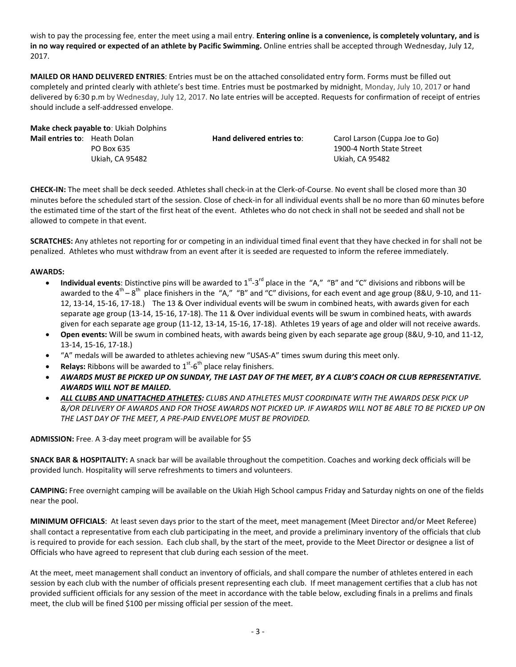wish to pay the processing fee, enter the meet using a mail entry. **Entering online is a convenience, is completely voluntary, and is in no way required or expected of an athlete by Pacific Swimming.** Online entries shall be accepted through Wednesday, July 12, 2017.

**MAILED OR HAND DELIVERED ENTRIES**: Entries must be on the attached consolidated entry form. Forms must be filled out completely and printed clearly with athlete's best time. Entries must be postmarked by midnight, Monday, July 10, 2017 or hand delivered by 6:30 p.m by Wednesday, July 12, 2017. No late entries will be accepted. Requests for confirmation of receipt of entries should include a self-addressed envelope.

|                                     | Make check payable to: Ukiah Dolphins |                            |                                |
|-------------------------------------|---------------------------------------|----------------------------|--------------------------------|
| <b>Mail entries to:</b> Heath Dolan |                                       | Hand delivered entries to: | Carol Larson (Cuppa Joe to Go) |
|                                     | PO Box 635                            |                            | 1900-4 North State Street      |
|                                     | Ukiah. CA 95482                       |                            | Ukiah. CA 95482                |
|                                     |                                       |                            |                                |

**CHECK-IN:** The meet shall be deck seeded. Athletes shall check-in at the Clerk-of-Course. No event shall be closed more than 30 minutes before the scheduled start of the session. Close of check-in for all individual events shall be no more than 60 minutes before the estimated time of the start of the first heat of the event. Athletes who do not check in shall not be seeded and shall not be allowed to compete in that event.

**SCRATCHES:** Any athletes not reporting for or competing in an individual timed final event that they have checked in for shall not be penalized. Athletes who must withdraw from an event after it is seeded are requested to inform the referee immediately.

## **AWARDS:**

- Individual events: Distinctive pins will be awarded to 1<sup>st</sup>-3<sup>rd</sup> place in the "A," "B" and "C" divisions and ribbons will be awarded to the 4<sup>th</sup> – 8<sup>th</sup> place finishers in the "A," "B" and "C" divisions, for each event and age group (8&U, 9-10, and 11-12, 13-14, 15-16, 17-18.) The 13 & Over individual events will be swum in combined heats, with awards given for each separate age group (13-14, 15-16, 17-18). The 11 & Over individual events will be swum in combined heats, with awards given for each separate age group (11-12, 13-14, 15-16, 17-18). Athletes 19 years of age and older will not receive awards.
- **Open events:** Will be swum in combined heats, with awards being given by each separate age group (8&U, 9-10, and 11-12, 13-14, 15-16, 17-18.)
- "A" medals will be awarded to athletes achieving new "USAS-A" times swum during this meet only.
- **Relays:** Ribbons will be awarded to  $1<sup>st</sup>$ -6<sup>th</sup> place relay finishers.
- *AWARDS MUST BE PICKED UP ON SUNDAY, THE LAST DAY OF THE MEET, BY A CLUB'S COACH OR CLUB REPRESENTATIVE. AWARDS WILL NOT BE MAILED.*
- *ALL CLUBS AND UNATTACHED ATHLETES: CLUBS AND ATHLETES MUST COORDINATE WITH THE AWARDS DESK PICK UP &/OR DELIVERY OF AWARDS AND FOR THOSE AWARDS NOT PICKED UP. IF AWARDS WILL NOT BE ABLE TO BE PICKED UP ON THE LAST DAY OF THE MEET, A PRE-PAID ENVELOPE MUST BE PROVIDED.*

#### **ADMISSION:** Free. A 3-day meet program will be available for \$5

**SNACK BAR & HOSPITALITY:** A snack bar will be available throughout the competition. Coaches and working deck officials will be provided lunch. Hospitality will serve refreshments to timers and volunteers.

**CAMPING:** Free overnight camping will be available on the Ukiah High School campus Friday and Saturday nights on one of the fields near the pool.

**MINIMUM OFFICIALS**: At least seven days prior to the start of the meet, meet management (Meet Director and/or Meet Referee) shall contact a representative from each club participating in the meet, and provide a preliminary inventory of the officials that club is required to provide for each session. Each club shall, by the start of the meet, provide to the Meet Director or designee a list of Officials who have agreed to represent that club during each session of the meet.

At the meet, meet management shall conduct an inventory of officials, and shall compare the number of athletes entered in each session by each club with the number of officials present representing each club. If meet management certifies that a club has not provided sufficient officials for any session of the meet in accordance with the table below, excluding finals in a prelims and finals meet, the club will be fined \$100 per missing official per session of the meet.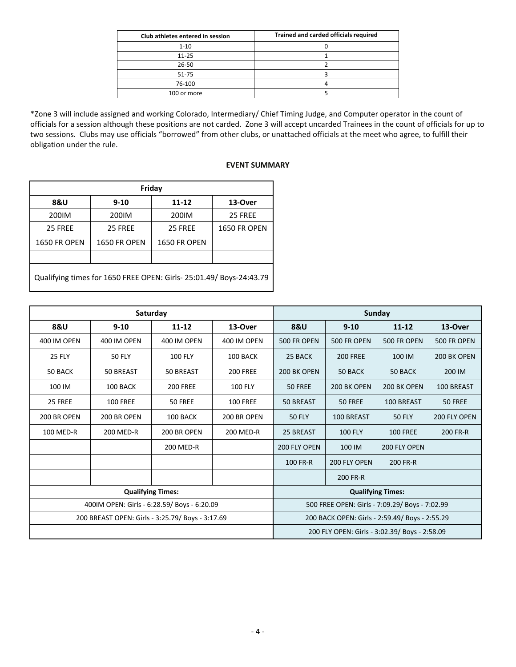| Club athletes entered in session | Trained and carded officials required |
|----------------------------------|---------------------------------------|
| $1 - 10$                         |                                       |
| $11 - 25$                        |                                       |
| 26-50                            |                                       |
| 51-75                            |                                       |
| 76-100                           |                                       |
| 100 or more                      |                                       |

\*Zone 3 will include assigned and working Colorado, Intermediary/ Chief Timing Judge, and Computer operator in the count of officials for a session although these positions are not carded. Zone 3 will accept uncarded Trainees in the count of officials for up to two sessions. Clubs may use officials "borrowed" from other clubs, or unattached officials at the meet who agree, to fulfill their obligation under the rule.

### **EVENT SUMMARY**

| Friday                                                             |                     |                     |                     |  |  |  |  |  |  |
|--------------------------------------------------------------------|---------------------|---------------------|---------------------|--|--|--|--|--|--|
| <b>8&amp;U</b>                                                     | $9 - 10$            | 11-12               | 13-Over             |  |  |  |  |  |  |
| 200IM                                                              | 200IM               | 200IM               | 25 FREE             |  |  |  |  |  |  |
| 25 FREE                                                            | 25 FREE             | 25 FREE             | <b>1650 FR OPEN</b> |  |  |  |  |  |  |
| <b>1650 FR OPEN</b>                                                | <b>1650 FR OPEN</b> | <b>1650 FR OPEN</b> |                     |  |  |  |  |  |  |
|                                                                    |                     |                     |                     |  |  |  |  |  |  |
| Qualifying times for 1650 FREE OPEN: Girls-25:01.49/ Boys-24:43.79 |                     |                     |                     |  |  |  |  |  |  |

|               |                 | Saturday                                         | Sunday                                         |                                                |                    |                    |                    |  |
|---------------|-----------------|--------------------------------------------------|------------------------------------------------|------------------------------------------------|--------------------|--------------------|--------------------|--|
| 8&U           | $9 - 10$        | $11 - 12$                                        | 13-Over                                        | <b>8&amp;U</b>                                 | $9 - 10$           | $11 - 12$          | 13-Over            |  |
| 400 IM OPEN   | 400 IM OPEN     | 400 IM OPEN                                      | 400 IM OPEN                                    | <b>500 FR OPEN</b>                             | <b>500 FR OPEN</b> | <b>500 FR OPEN</b> | <b>500 FR OPEN</b> |  |
| <b>25 FLY</b> | <b>50 FLY</b>   | <b>100 FLY</b>                                   | 100 BACK                                       | 25 BACK                                        | <b>200 FREE</b>    | 100 IM             | 200 BK OPEN        |  |
| 50 BACK       | 50 BREAST       | 50 BREAST                                        | <b>200 FREE</b>                                | 200 BK OPEN                                    | 50 BACK            | 50 BACK            | 200 IM             |  |
| 100 IM        | 100 BACK        | <b>200 FREE</b>                                  | <b>100 FLY</b>                                 | 50 FREE                                        | 200 BK OPEN        | 200 BK OPEN        | 100 BREAST         |  |
| 25 FREE       | <b>100 FREE</b> | 50 FREE                                          | <b>100 FREE</b>                                | 50 BREAST                                      | 50 FREE            | 100 BREAST         | 50 FREE            |  |
| 200 BR OPEN   | 200 BR OPEN     | 100 BACK                                         | 200 BR OPEN                                    | <b>50 FLY</b>                                  | 100 BREAST         | <b>50 FLY</b>      | 200 FLY OPEN       |  |
| 100 MED-R     | 200 MED-R       | 200 BR OPEN                                      | 200 MED-R                                      | 25 BREAST                                      | <b>100 FLY</b>     | <b>100 FREE</b>    | 200 FR-R           |  |
|               |                 | 200 MED-R                                        |                                                | 200 FLY OPEN                                   | 100 IM             | 200 FLY OPEN       |                    |  |
|               |                 |                                                  |                                                | 100 FR-R                                       | 200 FLY OPEN       | 200 FR-R           |                    |  |
|               |                 |                                                  |                                                |                                                | 200 FR-R           |                    |                    |  |
|               |                 | <b>Qualifying Times:</b>                         | <b>Qualifying Times:</b>                       |                                                |                    |                    |                    |  |
|               |                 | 400IM OPEN: Girls - 6:28.59/ Boys - 6:20.09      | 500 FREE OPEN: Girls - 7:09.29/ Boys - 7:02.99 |                                                |                    |                    |                    |  |
|               |                 | 200 BREAST OPEN: Girls - 3:25.79/ Boys - 3:17.69 |                                                | 200 BACK OPEN: Girls - 2:59.49/ Boys - 2:55.29 |                    |                    |                    |  |
|               |                 |                                                  |                                                | 200 FLY OPEN: Girls - 3:02.39/ Boys - 2:58.09  |                    |                    |                    |  |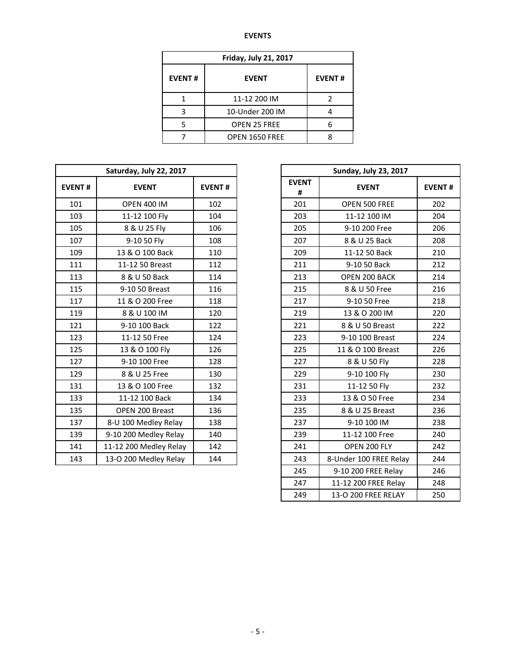# **EVENTS**

| <b>Friday, July 21, 2017</b> |                     |               |  |  |  |  |  |  |
|------------------------------|---------------------|---------------|--|--|--|--|--|--|
| <b>EVENT#</b>                | <b>EVENT</b>        | <b>EVENT#</b> |  |  |  |  |  |  |
|                              | 11-12 200 IM        |               |  |  |  |  |  |  |
| ς                            | 10-Under 200 IM     |               |  |  |  |  |  |  |
|                              | <b>OPEN 25 FREE</b> |               |  |  |  |  |  |  |
|                              | OPEN 1650 FREE      |               |  |  |  |  |  |  |

|               | Saturday, July 22, 2017 |               |                   | <b>Sunday, July 23, 2017</b> |              |
|---------------|-------------------------|---------------|-------------------|------------------------------|--------------|
| <b>EVENT#</b> | <b>EVENT</b>            | <b>EVENT#</b> | <b>EVENT</b><br># | <b>EVENT</b>                 | <b>EVENT</b> |
| 101           | <b>OPEN 400 IM</b>      | 102           | 201               | OPEN 500 FREE                |              |
| 103           | 11-12 100 Fly           | 104           | 203               | 11-12 100 IM                 |              |
| 105           | 8 & U 25 Fly            | 106           | 205               | 9-10 200 Free                |              |
| 107           | 9-10 50 Fly             | 108           | 207               | 8 & U 25 Back                |              |
| 109           | 13 & O 100 Back         | 110           | 209               | 11-12 50 Back                |              |
| 111           | 11-12 50 Breast         | 112           | 211               | 9-10 50 Back                 |              |
| 113           | 8 & U 50 Back           | 114           | 213               | OPEN 200 BACK                |              |
| 115           | 9-10 50 Breast          | 116           | 215               | 8 & U 50 Free                |              |
| 117           | 11 & O 200 Free         | 118           | 217               | 9-10 50 Free                 |              |
| 119           | 8 & U 100 IM            | 120           | 219               | 13 & O 200 IM                |              |
| 121           | 9-10 100 Back           | 122           | 221               | 8 & U 50 Breast              |              |
| 123           | 11-12 50 Free           | 124           | 223               | 9-10 100 Breast              |              |
| 125           | 13 & O 100 Fly          | 126           | 225               | 11 & O 100 Breast            |              |
| 127           | 9-10 100 Free           | 128           | 227               | 8 & U 50 Fly                 |              |
| 129           | 8 & U 25 Free           | 130           | 229               | 9-10 100 Fly                 |              |
| 131           | 13 & O 100 Free         | 132           | 231               | 11-12 50 Fly                 |              |
| 133           | 11-12 100 Back          | 134           | 233               | 13 & O 50 Free               |              |
| 135           | OPEN 200 Breast         | 136           | 235               | 8 & U 25 Breast              |              |
| 137           | 8-U 100 Medley Relay    | 138           | 237               | 9-10 100 IM                  |              |
| 139           | 9-10 200 Medley Relay   | 140           | 239               | 11-12 100 Free               |              |
| 141           | 11-12 200 Medley Relay  | 142           | 241               | OPEN 200 FLY                 |              |
| 143           | 13-O 200 Medley Relay   | 144           | 243               | 8-Under 100 FREE Relay       |              |

| <b>Sunday, July 23, 2017</b> |                        |               |  |  |  |  |  |  |
|------------------------------|------------------------|---------------|--|--|--|--|--|--|
| <b>EVENT</b><br>#            | <b>EVENT</b>           | <b>EVENT#</b> |  |  |  |  |  |  |
| 201                          | OPEN 500 FREE          | 202           |  |  |  |  |  |  |
| 203                          | 11-12 100 IM           | 204           |  |  |  |  |  |  |
| 205                          | 9-10 200 Free          | 206           |  |  |  |  |  |  |
| 207                          | 8 & U 25 Back          | 208           |  |  |  |  |  |  |
| 209                          | 11-12 50 Back          | 210           |  |  |  |  |  |  |
| 211                          | 9-10 50 Back           | 212           |  |  |  |  |  |  |
| 213                          | OPEN 200 BACK          | 214           |  |  |  |  |  |  |
| 215                          | 8 & U 50 Free          | 216           |  |  |  |  |  |  |
| 217                          | 9-10 50 Free           | 218           |  |  |  |  |  |  |
| 219                          | 13 & O 200 IM          | 220           |  |  |  |  |  |  |
| 221                          | 8 & U 50 Breast        | 222           |  |  |  |  |  |  |
| 223                          | 9-10 100 Breast        | 224           |  |  |  |  |  |  |
| 225                          | 11 & O 100 Breast      | 226           |  |  |  |  |  |  |
| 227                          | 8 & U 50 Fly           | 228           |  |  |  |  |  |  |
| 229                          | 9-10 100 Fly           | 230           |  |  |  |  |  |  |
| 231                          | 11-12 50 Fly           | 232           |  |  |  |  |  |  |
| 233                          | 13 & O 50 Free         | 234           |  |  |  |  |  |  |
| 235                          | 8 & U 25 Breast        | 236           |  |  |  |  |  |  |
| 237                          | 9-10 100 IM            | 238           |  |  |  |  |  |  |
| 239                          | 11-12 100 Free         | 240           |  |  |  |  |  |  |
| 241                          | OPEN 200 FLY           | 242           |  |  |  |  |  |  |
| 243                          | 8-Under 100 FREE Relay | 244           |  |  |  |  |  |  |
| 245                          | 9-10 200 FREE Relay    | 246           |  |  |  |  |  |  |
| 247                          | 11-12 200 FREE Relay   | 248           |  |  |  |  |  |  |
| 249                          | 13-O 200 FREE RELAY    | 250           |  |  |  |  |  |  |